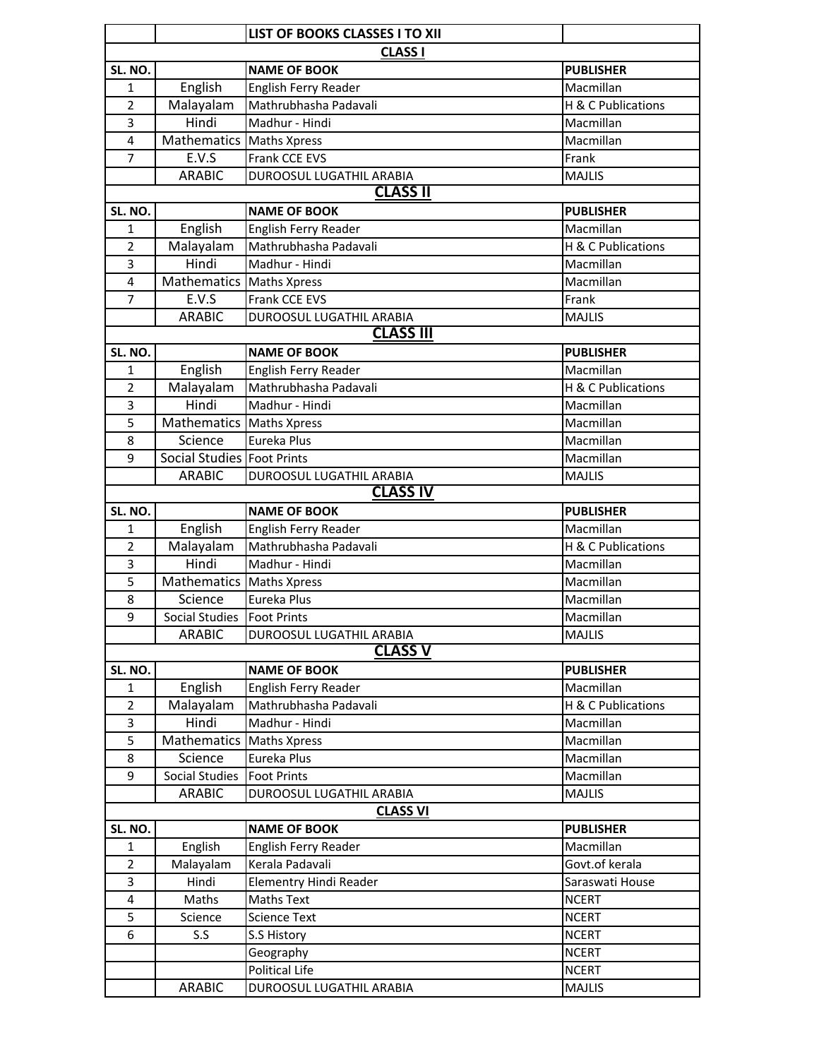|                         |                                       | LIST OF BOOKS CLASSES I TO XII                |                               |  |  |  |
|-------------------------|---------------------------------------|-----------------------------------------------|-------------------------------|--|--|--|
| <b>CLASS I</b>          |                                       |                                               |                               |  |  |  |
| SL. NO.                 |                                       | <b>NAME OF BOOK</b>                           | <b>PUBLISHER</b>              |  |  |  |
| 1                       | English                               | English Ferry Reader                          | Macmillan                     |  |  |  |
| $\overline{2}$          | Malayalam                             | Mathrubhasha Padavali                         | H & C Publications            |  |  |  |
| 3                       | Hindi                                 | Madhur - Hindi                                | Macmillan                     |  |  |  |
| $\overline{\mathbf{4}}$ | Mathematics Maths Xpress              |                                               | Macmillan                     |  |  |  |
| 7                       | E.V.S                                 | Frank CCE EVS                                 | Frank                         |  |  |  |
|                         | <b>ARABIC</b>                         | DUROOSUL LUGATHIL ARABIA                      | <b>MAJLIS</b>                 |  |  |  |
|                         |                                       | <b>CLASS II</b>                               |                               |  |  |  |
| SL. NO.                 |                                       | <b>NAME OF BOOK</b>                           | <b>PUBLISHER</b>              |  |  |  |
| $\mathbf{1}$            | English                               | English Ferry Reader                          | Macmillan                     |  |  |  |
| $\overline{2}$          | Malayalam                             | Mathrubhasha Padavali                         | H & C Publications            |  |  |  |
| 3                       | Hindi                                 | Madhur - Hindi                                | Macmillan                     |  |  |  |
| $\overline{4}$          | Mathematics Maths Xpress              |                                               | Macmillan                     |  |  |  |
| $\overline{7}$          | E.V.S                                 | Frank CCE EVS                                 | Frank                         |  |  |  |
|                         | <b>ARABIC</b>                         | DUROOSUL LUGATHIL ARABIA                      | <b>MAJLIS</b>                 |  |  |  |
|                         |                                       | <b>CLASS III</b>                              |                               |  |  |  |
| SL. NO.                 | English                               | <b>NAME OF BOOK</b>                           | <b>PUBLISHER</b><br>Macmillan |  |  |  |
| 1<br>$\overline{2}$     |                                       | English Ferry Reader<br>Mathrubhasha Padavali | H & C Publications            |  |  |  |
|                         | Malayalam<br>Hindi                    | Madhur - Hindi                                | Macmillan                     |  |  |  |
| 3<br>5                  |                                       |                                               | Macmillan                     |  |  |  |
| 8                       | Mathematics   Maths Xpress<br>Science | Eureka Plus                                   | Macmillan                     |  |  |  |
| 9                       | Social Studies Foot Prints            |                                               | Macmillan                     |  |  |  |
|                         | <b>ARABIC</b>                         | DUROOSUL LUGATHIL ARABIA                      | <b>MAJLIS</b>                 |  |  |  |
|                         |                                       | <b>CLASS IV</b>                               |                               |  |  |  |
| SL. NO.                 |                                       | <b>NAME OF BOOK</b>                           | <b>PUBLISHER</b>              |  |  |  |
| 1                       | English                               | English Ferry Reader                          | Macmillan                     |  |  |  |
| $\overline{2}$          | Malayalam                             | Mathrubhasha Padavali                         | H & C Publications            |  |  |  |
| 3                       | Hindi                                 | Madhur - Hindi                                | Macmillan                     |  |  |  |
| 5                       | Mathematics Maths Xpress              |                                               | Macmillan                     |  |  |  |
| 8                       | Science                               | Eureka Plus                                   | Macmillan                     |  |  |  |
| q                       | Social Studies   Foot Prints          |                                               | Macmillan                     |  |  |  |
|                         | <b>ARABIC</b>                         | DUROOSUL LUGATHIL ARABIA                      | <b>MAJLIS</b>                 |  |  |  |
|                         |                                       | <b>CLASS V</b>                                |                               |  |  |  |
| SL. NO.                 |                                       | <b>NAME OF BOOK</b>                           | <b>PUBLISHER</b>              |  |  |  |
| 1                       | English                               | English Ferry Reader                          | Macmillan                     |  |  |  |
| $\overline{2}$          | Malayalam                             | Mathrubhasha Padavali                         | H & C Publications            |  |  |  |
| 3                       | Hindi                                 | Madhur - Hindi                                | Macmillan                     |  |  |  |
| 5                       | Mathematics                           | <b>Maths Xpress</b>                           | Macmillan                     |  |  |  |
| 8                       | Science                               | Eureka Plus                                   | Macmillan                     |  |  |  |
| 9                       | <b>Social Studies</b>                 | <b>Foot Prints</b>                            | Macmillan                     |  |  |  |
|                         | <b>ARABIC</b>                         | DUROOSUL LUGATHIL ARABIA                      | <b>MAJLIS</b>                 |  |  |  |
|                         |                                       | <b>CLASS VI</b>                               |                               |  |  |  |
| SL. NO.                 |                                       | <b>NAME OF BOOK</b>                           | <b>PUBLISHER</b>              |  |  |  |
| 1                       | English                               | English Ferry Reader                          | Macmillan                     |  |  |  |
| $\overline{2}$          | Malayalam                             | Kerala Padavali                               | Govt.of kerala                |  |  |  |
| 3                       | Hindi                                 | Elementry Hindi Reader                        | Saraswati House               |  |  |  |
| $\overline{4}$          | Maths                                 | <b>Maths Text</b>                             | <b>NCERT</b>                  |  |  |  |
| 5                       | Science                               | <b>Science Text</b>                           | <b>NCERT</b>                  |  |  |  |
| 6                       | S.S                                   | S.S History                                   | <b>NCERT</b>                  |  |  |  |
|                         |                                       | Geography                                     | <b>NCERT</b>                  |  |  |  |
|                         |                                       | Political Life                                | <b>NCERT</b>                  |  |  |  |
|                         | <b>ARABIC</b>                         | DUROOSUL LUGATHIL ARABIA                      | <b>MAJLIS</b>                 |  |  |  |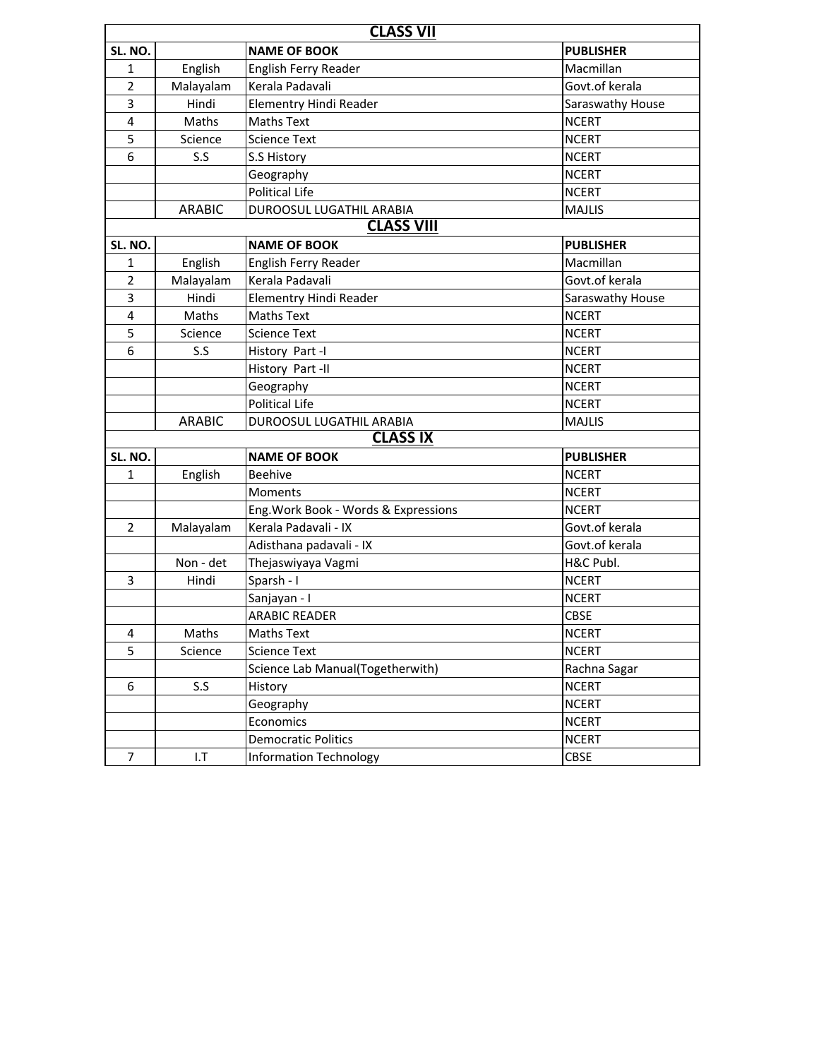| <b>CLASS VII</b>  |               |                                      |                  |  |  |  |  |
|-------------------|---------------|--------------------------------------|------------------|--|--|--|--|
| SL. NO.           |               | <b>NAME OF BOOK</b>                  | <b>PUBLISHER</b> |  |  |  |  |
| 1                 | English       | English Ferry Reader                 | Macmillan        |  |  |  |  |
| $\overline{2}$    | Malayalam     | Kerala Padavali                      | Govt.of kerala   |  |  |  |  |
| 3                 | Hindi         | Elementry Hindi Reader               | Saraswathy House |  |  |  |  |
| $\overline{4}$    | Maths         | <b>Maths Text</b>                    | <b>NCERT</b>     |  |  |  |  |
| 5                 | Science       | <b>Science Text</b>                  | <b>NCERT</b>     |  |  |  |  |
| 6                 | S.S           | S.S History                          | <b>NCERT</b>     |  |  |  |  |
|                   |               | Geography                            | <b>NCERT</b>     |  |  |  |  |
|                   |               | <b>Political Life</b>                | <b>NCERT</b>     |  |  |  |  |
|                   | <b>ARABIC</b> | DUROOSUL LUGATHIL ARABIA             | <b>MAJLIS</b>    |  |  |  |  |
| <b>CLASS VIII</b> |               |                                      |                  |  |  |  |  |
| SL. NO.           |               | <b>NAME OF BOOK</b>                  | <b>PUBLISHER</b> |  |  |  |  |
| 1                 | English       | English Ferry Reader                 | Macmillan        |  |  |  |  |
| $\overline{2}$    | Malayalam     | Kerala Padavali                      | Govt.of kerala   |  |  |  |  |
| 3                 | Hindi         | Elementry Hindi Reader               | Saraswathy House |  |  |  |  |
| $\overline{4}$    | Maths         | <b>Maths Text</b>                    | <b>NCERT</b>     |  |  |  |  |
| 5                 | Science       | <b>Science Text</b>                  | <b>NCERT</b>     |  |  |  |  |
| 6                 | S.S           | History Part -I                      | <b>NCERT</b>     |  |  |  |  |
|                   |               | History Part -II                     | <b>NCERT</b>     |  |  |  |  |
|                   |               | Geography                            | <b>NCERT</b>     |  |  |  |  |
|                   |               | <b>Political Life</b>                | <b>NCERT</b>     |  |  |  |  |
|                   | <b>ARABIC</b> | DUROOSUL LUGATHIL ARABIA             | <b>MAJLIS</b>    |  |  |  |  |
|                   |               | <b>CLASS IX</b>                      |                  |  |  |  |  |
| SL. NO.           |               | <b>NAME OF BOOK</b>                  | <b>PUBLISHER</b> |  |  |  |  |
| 1                 | English       | <b>Beehive</b>                       | <b>NCERT</b>     |  |  |  |  |
|                   |               | Moments                              | <b>NCERT</b>     |  |  |  |  |
|                   |               | Eng. Work Book - Words & Expressions | <b>NCERT</b>     |  |  |  |  |
| $\overline{2}$    | Malayalam     | Kerala Padavali - IX                 | Govt.of kerala   |  |  |  |  |
|                   |               | Adisthana padavali - IX              | Govt.of kerala   |  |  |  |  |
|                   | Non - det     | Thejaswiyaya Vagmi                   | H&C Publ.        |  |  |  |  |
| 3                 | Hindi         | Sparsh - I                           | <b>NCERT</b>     |  |  |  |  |
|                   |               | Sanjayan - I                         | <b>NCERT</b>     |  |  |  |  |
|                   |               | <b>ARABIC READER</b>                 | <b>CBSE</b>      |  |  |  |  |
| 4                 | Maths         | <b>Maths Text</b>                    | <b>NCERT</b>     |  |  |  |  |
| 5                 | Science       | <b>Science Text</b>                  | <b>NCERT</b>     |  |  |  |  |
|                   |               | Science Lab Manual(Togetherwith)     | Rachna Sagar     |  |  |  |  |
| 6                 | S.S           | History                              | <b>NCERT</b>     |  |  |  |  |
|                   |               | Geography                            | <b>NCERT</b>     |  |  |  |  |
|                   |               | Economics                            | <b>NCERT</b>     |  |  |  |  |
|                   |               | <b>Democratic Politics</b>           | <b>NCERT</b>     |  |  |  |  |
| $\overline{7}$    | 1.7           | <b>Information Technology</b>        | <b>CBSE</b>      |  |  |  |  |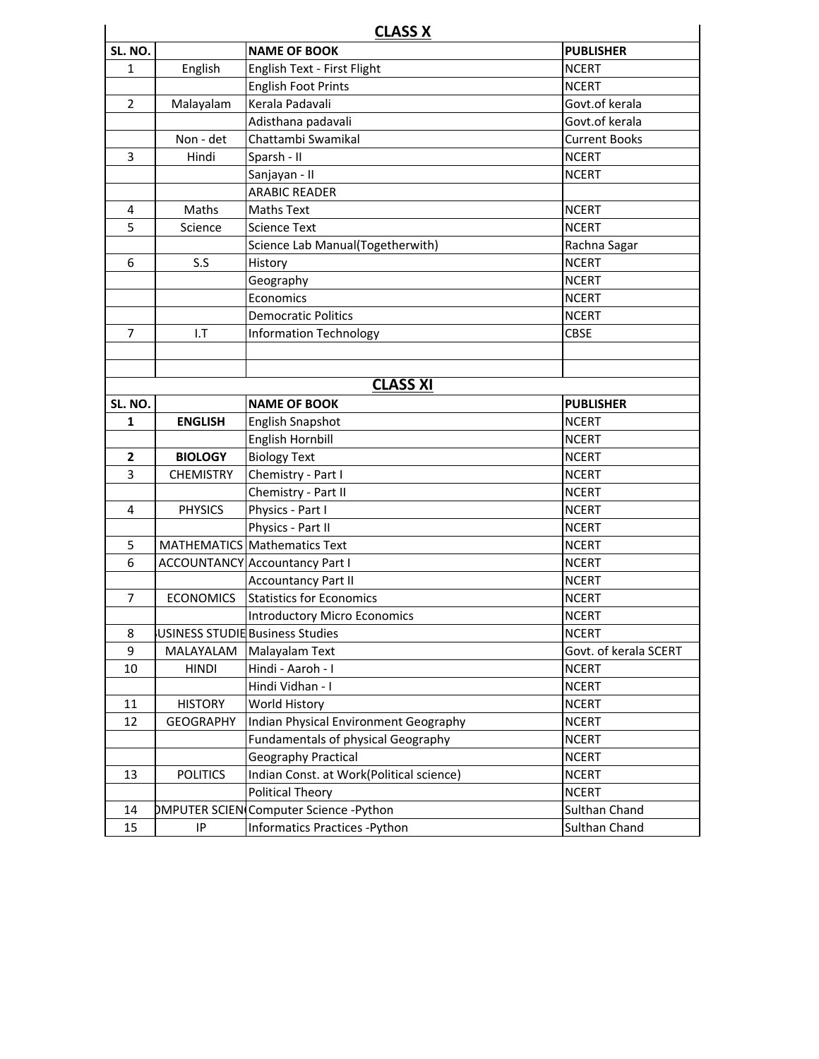| <b>CLASS X</b> |                  |                                          |                       |  |  |
|----------------|------------------|------------------------------------------|-----------------------|--|--|
| SL. NO.        |                  | <b>NAME OF BOOK</b>                      | <b>PUBLISHER</b>      |  |  |
| 1              | English          | English Text - First Flight              | <b>NCERT</b>          |  |  |
|                |                  | <b>English Foot Prints</b>               | <b>NCERT</b>          |  |  |
| 2              | Malayalam        | Kerala Padavali                          | Govt.of kerala        |  |  |
|                |                  | Adisthana padavali                       | Govt.of kerala        |  |  |
|                | Non - det        | Chattambi Swamikal                       | <b>Current Books</b>  |  |  |
| 3              | Hindi            | Sparsh - II                              | <b>NCERT</b>          |  |  |
|                |                  | Sanjayan - II                            | <b>NCERT</b>          |  |  |
|                |                  | <b>ARABIC READER</b>                     |                       |  |  |
| 4              | Maths            | <b>Maths Text</b>                        | <b>NCERT</b>          |  |  |
| 5              | Science          | <b>Science Text</b>                      | <b>NCERT</b>          |  |  |
|                |                  | Science Lab Manual(Togetherwith)         | Rachna Sagar          |  |  |
| 6              | S.S              | History                                  | <b>NCERT</b>          |  |  |
|                |                  | Geography                                | <b>NCERT</b>          |  |  |
|                |                  | Economics                                | <b>NCERT</b>          |  |  |
|                |                  | <b>Democratic Politics</b>               | <b>NCERT</b>          |  |  |
| 7              | $1.$ T           | <b>Information Technology</b>            | <b>CBSE</b>           |  |  |
|                |                  |                                          |                       |  |  |
|                |                  |                                          |                       |  |  |
|                |                  | <b>CLASS XI</b>                          |                       |  |  |
| SL. NO.        |                  | <b>NAME OF BOOK</b>                      | <b>PUBLISHER</b>      |  |  |
| 1              | <b>ENGLISH</b>   | <b>English Snapshot</b>                  | <b>NCERT</b>          |  |  |
|                |                  | English Hornbill                         | <b>NCERT</b>          |  |  |
| $\overline{2}$ | <b>BIOLOGY</b>   | <b>Biology Text</b>                      | <b>NCERT</b>          |  |  |
| 3              | <b>CHEMISTRY</b> | Chemistry - Part I                       | <b>NCERT</b>          |  |  |
|                |                  | Chemistry - Part II                      | <b>NCERT</b>          |  |  |
| 4              | <b>PHYSICS</b>   | Physics - Part I                         | <b>NCERT</b>          |  |  |
|                |                  | Physics - Part II                        | <b>NCERT</b>          |  |  |
| 5              |                  | <b>MATHEMATICS Mathematics Text</b>      | <b>NCERT</b>          |  |  |
| 6              |                  | <b>ACCOUNTANCY Accountancy Part I</b>    | <b>NCERT</b>          |  |  |
|                |                  | <b>Accountancy Part II</b>               | <b>NCERT</b>          |  |  |
| 7              | <b>ECONOMICS</b> | <b>Statistics for Economics</b>          | <b>NCERT</b>          |  |  |
|                |                  | <b>Introductory Micro Economics</b>      | <b>NCERT</b>          |  |  |
| 8              |                  | USINESS STUDIE Business Studies          | <b>NCERT</b>          |  |  |
| 9              | MALAYALAM        | Malayalam Text                           | Govt. of kerala SCERT |  |  |
| 10             | <b>HINDI</b>     | Hindi - Aaroh - I                        | <b>NCERT</b>          |  |  |
|                |                  | Hindi Vidhan - I                         | <b>NCERT</b>          |  |  |
| 11             | <b>HISTORY</b>   | World History                            | <b>NCERT</b>          |  |  |
| 12             | <b>GEOGRAPHY</b> | Indian Physical Environment Geography    | <b>NCERT</b>          |  |  |
|                |                  | Fundamentals of physical Geography       | <b>NCERT</b>          |  |  |
|                |                  | Geography Practical                      | <b>NCERT</b>          |  |  |
| 13             | <b>POLITICS</b>  | Indian Const. at Work(Political science) | <b>NCERT</b>          |  |  |
|                |                  | Political Theory                         | <b>NCERT</b>          |  |  |
| 14             |                  | DMPUTER SCIEN Computer Science -Python   | Sulthan Chand         |  |  |
| 15             | IP               | Informatics Practices - Python           | Sulthan Chand         |  |  |